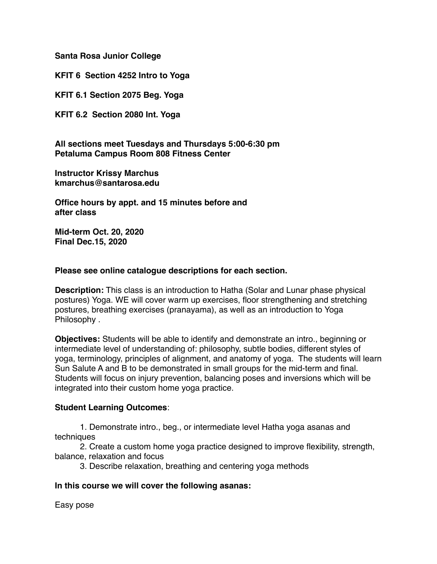**Santa Rosa Junior College**

**KFIT 6 Section 4252 Intro to Yoga**

**KFIT 6.1 Section 2075 Beg. Yoga**

**KFIT 6.2 Section 2080 Int. Yoga**

**All sections meet Tuesdays and Thursdays 5:00-6:30 pm Petaluma Campus Room 808 Fitness Center** 

**Instructor Krissy Marchus kmarchus@santarosa.edu**

**Office hours by appt. and 15 minutes before and after class**

**Mid-term Oct. 20, 2020 Final Dec.15, 2020**

## **Please see online catalogue descriptions for each section.**

**Description:** This class is an introduction to Hatha (Solar and Lunar phase physical postures) Yoga. WE will cover warm up exercises, floor strengthening and stretching postures, breathing exercises (pranayama), as well as an introduction to Yoga Philosophy .

**Objectives:** Students will be able to identify and demonstrate an intro., beginning or intermediate level of understanding of: philosophy, subtle bodies, different styles of yoga, terminology, principles of alignment, and anatomy of yoga. The students will learn Sun Salute A and B to be demonstrated in small groups for the mid-term and final. Students will focus on injury prevention, balancing poses and inversions which will be integrated into their custom home yoga practice.

# **Student Learning Outcomes**:

1. Demonstrate intro., beg., or intermediate level Hatha yoga asanas and techniques

2. Create a custom home yoga practice designed to improve flexibility, strength, balance, relaxation and focus

3. Describe relaxation, breathing and centering yoga methods

# **In this course we will cover the following asanas:**

Easy pose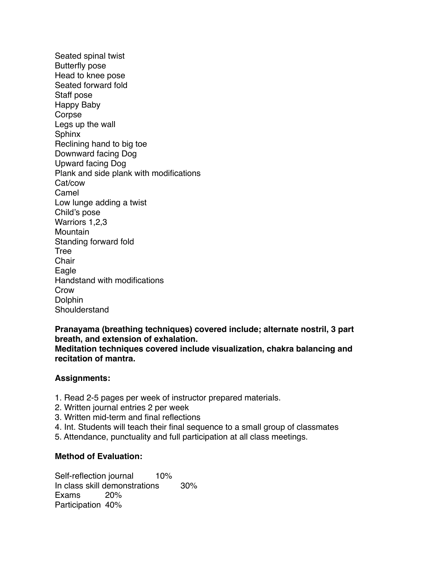Seated spinal twist Butterfly pose Head to knee pose Seated forward fold Staff pose Happy Baby Corpse Legs up the wall Sphinx Reclining hand to big toe Downward facing Dog Upward facing Dog Plank and side plank with modifications Cat/cow Camel Low lunge adding a twist Child's pose Warriors 1,2,3 **Mountain** Standing forward fold Tree **Chair** Eagle Handstand with modifications Crow Dolphin Shoulderstand

**Pranayama (breathing techniques) covered include; alternate nostril, 3 part breath, and extension of exhalation. Meditation techniques covered include visualization, chakra balancing and recitation of mantra.**

### **Assignments:**

- 1. Read 2-5 pages per week of instructor prepared materials.
- 2. Written journal entries 2 per week
- 3. Written mid-term and final reflections
- 4. Int. Students will teach their final sequence to a small group of classmates
- 5. Attendance, punctuality and full participation at all class meetings.

### **Method of Evaluation:**

Self-reflection journal 10% In class skill demonstrations 30% Exams 20% Participation 40%